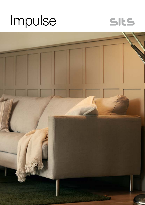# Impulse



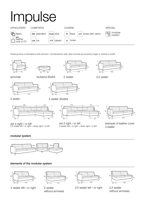# Impulse



Drawing show combinations with armrest I. Combinantons with other armrest are properly longer or shorter in width.





footstool 80x64





armchair





4 seater divided

2 seater

2,5 seater

3 seater



set 4 right / or left 2,5 seater left / or right + divan right / or left



set 5 right / or left 2 seater left / or right + divan right / or left



example of leather cover 3 seater

# modular system



# elements of the modular system



2 seater left / or right 2 seater



without armrests



2,5 seater left / or right 2,5 seater



without armrests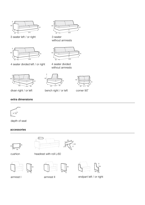

3 seater left / or right



4 seater divided left / or right 4 seater divided



3 seater without armrests



without armrests







divan right / or left bench right / or left corner 90°

# extra dimensions



depth of seat

### accessories



cushion





σ





~62



armrest I armrest II endpart left / or right